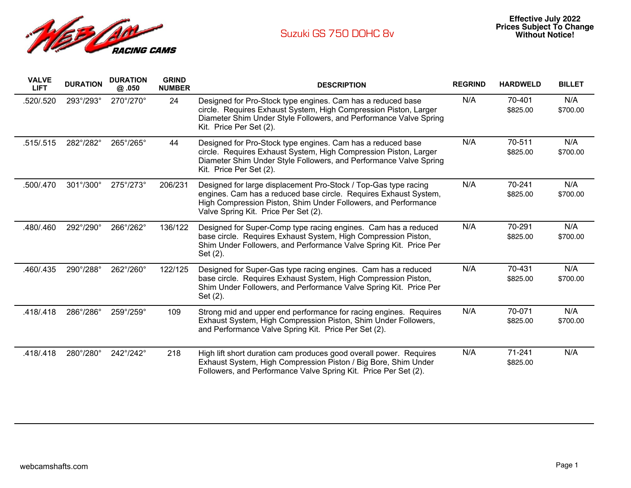

| <b>VALVE</b><br><b>LIFT</b> | <b>DURATION</b> | <b>DURATION</b><br>@ .050 | <b>GRIND</b><br><b>NUMBER</b> | <b>DESCRIPTION</b>                                                                                                                                                                                                                            | <b>REGRIND</b> | <b>HARDWELD</b>    | <b>BILLET</b>   |
|-----------------------------|-----------------|---------------------------|-------------------------------|-----------------------------------------------------------------------------------------------------------------------------------------------------------------------------------------------------------------------------------------------|----------------|--------------------|-----------------|
| .520/.520                   | 293°/293°       | 270°/270°                 | 24                            | Designed for Pro-Stock type engines. Cam has a reduced base<br>circle. Requires Exhaust System, High Compression Piston, Larger<br>Diameter Shim Under Style Followers, and Performance Valve Spring<br>Kit. Price Per Set (2).               | N/A            | 70-401<br>\$825.00 | N/A<br>\$700.00 |
| .515/.515                   | 282°/282°       | 265°/265°                 | 44                            | Designed for Pro-Stock type engines. Cam has a reduced base<br>circle. Requires Exhaust System, High Compression Piston, Larger<br>Diameter Shim Under Style Followers, and Performance Valve Spring<br>Kit. Price Per Set (2).               | N/A            | 70-511<br>\$825.00 | N/A<br>\$700.00 |
| 500/.470                    | 301°/300°       | 275°/273°                 | 206/231                       | Designed for large displacement Pro-Stock / Top-Gas type racing<br>engines. Cam has a reduced base circle. Requires Exhaust System,<br>High Compression Piston, Shim Under Followers, and Performance<br>Valve Spring Kit. Price Per Set (2). | N/A            | 70-241<br>\$825.00 | N/A<br>\$700.00 |
| .480/.460                   | 292°/290°       | 266°/262°                 | 136/122                       | Designed for Super-Comp type racing engines. Cam has a reduced<br>base circle. Requires Exhaust System, High Compression Piston,<br>Shim Under Followers, and Performance Valve Spring Kit. Price Per<br>Set (2).                             | N/A            | 70-291<br>\$825.00 | N/A<br>\$700.00 |
| .460/.435                   | 290°/288°       | 262°/260°                 | 122/125                       | Designed for Super-Gas type racing engines. Cam has a reduced<br>base circle. Requires Exhaust System, High Compression Piston,<br>Shim Under Followers, and Performance Valve Spring Kit. Price Per<br>Set (2).                              | N/A            | 70-431<br>\$825.00 | N/A<br>\$700.00 |
| .418/.418                   | 286°/286°       | 259°/259°                 | 109                           | Strong mid and upper end performance for racing engines. Requires<br>Exhaust System, High Compression Piston, Shim Under Followers,<br>and Performance Valve Spring Kit. Price Per Set (2).                                                   | N/A            | 70-071<br>\$825.00 | N/A<br>\$700.00 |
| .418/.418                   | 280°/280°       | 242°/242°                 | 218                           | High lift short duration cam produces good overall power. Requires<br>Exhaust System, High Compression Piston / Big Bore, Shim Under<br>Followers, and Performance Valve Spring Kit. Price Per Set (2).                                       | N/A            | 71-241<br>\$825.00 | N/A             |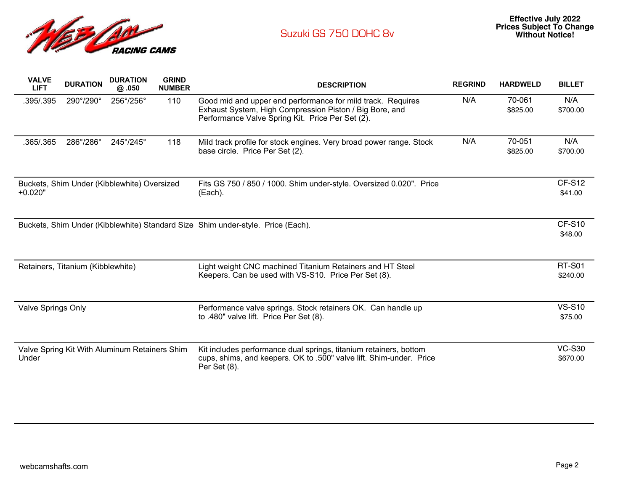

| <b>VALVE</b><br><b>LIFT</b> | <b>DURATION</b>                   | <b>DURATION</b><br>@.050                      | <b>GRIND</b><br><b>NUMBER</b> | <b>DESCRIPTION</b>                                                                                                                                                         | <b>REGRIND</b> | <b>HARDWELD</b>    | <b>BILLET</b>             |
|-----------------------------|-----------------------------------|-----------------------------------------------|-------------------------------|----------------------------------------------------------------------------------------------------------------------------------------------------------------------------|----------------|--------------------|---------------------------|
| .395/.395                   | 290°/290°                         | 256°/256°                                     | 110                           | Good mid and upper end performance for mild track. Requires<br>Exhaust System, High Compression Piston / Big Bore, and<br>Performance Valve Spring Kit. Price Per Set (2). | N/A            | 70-061<br>\$825.00 | N/A<br>\$700.00           |
| .365/.365                   | 286°/286°                         | 245°/245°                                     | 118                           | Mild track profile for stock engines. Very broad power range. Stock<br>base circle. Price Per Set (2).                                                                     | N/A            | 70-051<br>\$825.00 | N/A<br>\$700.00           |
| $+0.020"$                   |                                   | Buckets, Shim Under (Kibblewhite) Oversized   |                               | Fits GS 750 / 850 / 1000. Shim under-style. Oversized 0.020". Price<br>(Each).                                                                                             |                |                    | <b>CF-S12</b><br>\$41.00  |
|                             |                                   |                                               |                               | Buckets, Shim Under (Kibblewhite) Standard Size Shim under-style. Price (Each).                                                                                            |                |                    | <b>CF-S10</b><br>\$48.00  |
|                             | Retainers, Titanium (Kibblewhite) |                                               |                               | Light weight CNC machined Titanium Retainers and HT Steel<br>Keepers. Can be used with VS-S10. Price Per Set (8).                                                          |                |                    | <b>RT-S01</b><br>\$240.00 |
| Valve Springs Only          |                                   |                                               |                               | Performance valve springs. Stock retainers OK. Can handle up<br>to .480" valve lift. Price Per Set (8).                                                                    |                |                    | <b>VS-S10</b><br>\$75.00  |
| Under                       |                                   | Valve Spring Kit With Aluminum Retainers Shim |                               | Kit includes performance dual springs, titanium retainers, bottom<br>cups, shims, and keepers. OK to .500" valve lift. Shim-under. Price<br>Per Set (8).                   |                |                    | <b>VC-S30</b><br>\$670.00 |